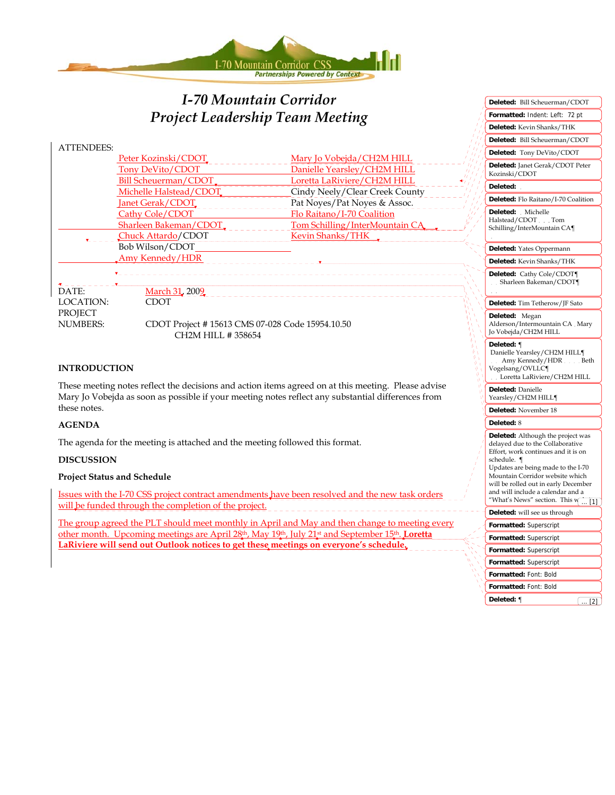

# *I-70 Mountain Corridor Project Leadership Team Meeting*

|                                                                                                    |                                                |                                                                     | Deleted: Bill Scheuerman/C                        |
|----------------------------------------------------------------------------------------------------|------------------------------------------------|---------------------------------------------------------------------|---------------------------------------------------|
| <b>ATTENDEES:</b>                                                                                  | Peter Kozinski/CDOT                            | Mary Jo Vobejda/CH2M HILL                                           | Deleted: Tony DeVito/CDC                          |
|                                                                                                    | Tony DeVito/CDOT                               | Danielle Yearsley/CH2M HILL                                         | Deleted: Janet Gerak/CDOT<br>Kozinski/CDOT        |
|                                                                                                    | Bill Scheuerman/CDOT<br>Michelle Halstead/CDOT | Loretta LaRiviere/CH2M HILL<br>Cindy Neely/Clear Creek County       | Deleted:                                          |
|                                                                                                    | Janet Gerak/CDOT                               | Pat Noyes/Pat Noyes & Assoc.                                        | Deleted: Flo Raitano/I-70 Co                      |
|                                                                                                    | Cathy Cole/CDOT                                | Flo Raitano/I-70 Coalition                                          | Deleted: Michelle                                 |
|                                                                                                    | Sharleen Bakeman/CDOT.                         | Tom Schilling/InterMountain CA                                      | Halstead/CDOT Tom<br>Schilling/InterMountain CA¶  |
|                                                                                                    | Chuck Attardo/CDOT                             | Kevin Shanks/THK _                                                  |                                                   |
|                                                                                                    | Bob Wilson/CDOT                                |                                                                     | Deleted: Yates Oppermann                          |
|                                                                                                    | Amy Kennedy/HDR                                |                                                                     | Deleted: Kevin Shanks/THK                         |
| DATE:                                                                                              | March 31, 2009                                 |                                                                     | Deleted: Cathy Cole/CDOT<br>Sharleen Bakeman/CDOT |
| LOCATION:                                                                                          | <b>CDOT</b>                                    |                                                                     | Deleted: Tim Tetherow/JF Sa                       |
| PROJECT<br><b>NUMBERS:</b><br>CDOT Project #15613 CMS 07-028 Code 15954.10.50<br>CH2M HILL #358654 |                                                | Deleted: Megan<br>Alderson/Intermountain CA<br>Jo Vobejda/CH2M HILL |                                                   |

#### **INTRODUCTION**

These meeting notes reflect the decisions and action items agreed on at this meeting. Please advise Mary Jo Vobejda as soon as possible if your meeting notes reflect any substantial differences from these notes.

#### **AGENDA**

The agenda for the meeting is attached and the meeting followed this format.

#### **DISCUSSION**

#### **Project Status and Schedule**

Issues with the I-70 CSS project contract amendments have been resolved and the new task orders will be funded through the completion of the project.

The group agreed the PLT should meet monthly in April and May and then change to meeting every other month. Upcoming meetings are April 28th, May 19th, July 21st and September 15th. **Loretta LaRiviere will send out Outlook notices to get these meetings on everyone's schedule.**

| Deleted: Bill Scheuerman/CDOT<br>Deleted: Tony DeVito/CDOT<br>Deleted: Janet Gerak/CDOT Peter<br>Kozinski/CDOT<br>Deleted:<br>Deleted: Flo Raitano/I-70 Coalition<br>Deleted:<br>Michelle<br>$\overline{\phantom{a}}$<br>Halstead/CDOT Tom<br>Schilling/InterMountain CA¶<br>Deleted: Yates Oppermann<br>Deleted: Kevin Shanks/THK<br>Deleted: Cathy Cole/CDOT¶<br>Sharleen Bakeman/CDOT¶<br>Deleted: Tim Tetherow/JF Sato<br>Deleted:<br>Megan<br>Alderson/Intermountain CA Mary<br>Jo Vobejda/CH2M HILL<br>Deleted: ¶<br>Danielle Yearsley/CH2M HILL¶<br>Amy Kennedy/HDR Beth<br>Vogelsang/OVLLC¶<br>Loretta LaRiviere/CH2M HILL<br>Deleted: Danielle<br>Yearsley/CH2M HILL¶<br>Deleted: November 18<br>Deleted: 8<br>Deleted: Although the project was<br>delayed due to the Collaborative<br>Effort, work continues and it is on<br>schedule. ¶<br>Updates are being made to the I-70<br>Mountain Corridor website which<br>will be rolled out in early December<br>and will include a calendar and a<br>"What's News" section. This w<br>$[1]$<br>Deleted: will see us through<br>Formatted: Superscript<br>Formatted: Superscript<br>Formatted: Superscript<br>Formatted: Superscript<br>Formatted: Font: Bold<br>Formatted: Font: Bold |  |  |  |
|-----------------------------------------------------------------------------------------------------------------------------------------------------------------------------------------------------------------------------------------------------------------------------------------------------------------------------------------------------------------------------------------------------------------------------------------------------------------------------------------------------------------------------------------------------------------------------------------------------------------------------------------------------------------------------------------------------------------------------------------------------------------------------------------------------------------------------------------------------------------------------------------------------------------------------------------------------------------------------------------------------------------------------------------------------------------------------------------------------------------------------------------------------------------------------------------------------------------------------------------------|--|--|--|
|                                                                                                                                                                                                                                                                                                                                                                                                                                                                                                                                                                                                                                                                                                                                                                                                                                                                                                                                                                                                                                                                                                                                                                                                                                               |  |  |  |
|                                                                                                                                                                                                                                                                                                                                                                                                                                                                                                                                                                                                                                                                                                                                                                                                                                                                                                                                                                                                                                                                                                                                                                                                                                               |  |  |  |
|                                                                                                                                                                                                                                                                                                                                                                                                                                                                                                                                                                                                                                                                                                                                                                                                                                                                                                                                                                                                                                                                                                                                                                                                                                               |  |  |  |
|                                                                                                                                                                                                                                                                                                                                                                                                                                                                                                                                                                                                                                                                                                                                                                                                                                                                                                                                                                                                                                                                                                                                                                                                                                               |  |  |  |
|                                                                                                                                                                                                                                                                                                                                                                                                                                                                                                                                                                                                                                                                                                                                                                                                                                                                                                                                                                                                                                                                                                                                                                                                                                               |  |  |  |
|                                                                                                                                                                                                                                                                                                                                                                                                                                                                                                                                                                                                                                                                                                                                                                                                                                                                                                                                                                                                                                                                                                                                                                                                                                               |  |  |  |
|                                                                                                                                                                                                                                                                                                                                                                                                                                                                                                                                                                                                                                                                                                                                                                                                                                                                                                                                                                                                                                                                                                                                                                                                                                               |  |  |  |
|                                                                                                                                                                                                                                                                                                                                                                                                                                                                                                                                                                                                                                                                                                                                                                                                                                                                                                                                                                                                                                                                                                                                                                                                                                               |  |  |  |
|                                                                                                                                                                                                                                                                                                                                                                                                                                                                                                                                                                                                                                                                                                                                                                                                                                                                                                                                                                                                                                                                                                                                                                                                                                               |  |  |  |
|                                                                                                                                                                                                                                                                                                                                                                                                                                                                                                                                                                                                                                                                                                                                                                                                                                                                                                                                                                                                                                                                                                                                                                                                                                               |  |  |  |
|                                                                                                                                                                                                                                                                                                                                                                                                                                                                                                                                                                                                                                                                                                                                                                                                                                                                                                                                                                                                                                                                                                                                                                                                                                               |  |  |  |
|                                                                                                                                                                                                                                                                                                                                                                                                                                                                                                                                                                                                                                                                                                                                                                                                                                                                                                                                                                                                                                                                                                                                                                                                                                               |  |  |  |
|                                                                                                                                                                                                                                                                                                                                                                                                                                                                                                                                                                                                                                                                                                                                                                                                                                                                                                                                                                                                                                                                                                                                                                                                                                               |  |  |  |
|                                                                                                                                                                                                                                                                                                                                                                                                                                                                                                                                                                                                                                                                                                                                                                                                                                                                                                                                                                                                                                                                                                                                                                                                                                               |  |  |  |
|                                                                                                                                                                                                                                                                                                                                                                                                                                                                                                                                                                                                                                                                                                                                                                                                                                                                                                                                                                                                                                                                                                                                                                                                                                               |  |  |  |
|                                                                                                                                                                                                                                                                                                                                                                                                                                                                                                                                                                                                                                                                                                                                                                                                                                                                                                                                                                                                                                                                                                                                                                                                                                               |  |  |  |
|                                                                                                                                                                                                                                                                                                                                                                                                                                                                                                                                                                                                                                                                                                                                                                                                                                                                                                                                                                                                                                                                                                                                                                                                                                               |  |  |  |
|                                                                                                                                                                                                                                                                                                                                                                                                                                                                                                                                                                                                                                                                                                                                                                                                                                                                                                                                                                                                                                                                                                                                                                                                                                               |  |  |  |
|                                                                                                                                                                                                                                                                                                                                                                                                                                                                                                                                                                                                                                                                                                                                                                                                                                                                                                                                                                                                                                                                                                                                                                                                                                               |  |  |  |
|                                                                                                                                                                                                                                                                                                                                                                                                                                                                                                                                                                                                                                                                                                                                                                                                                                                                                                                                                                                                                                                                                                                                                                                                                                               |  |  |  |
|                                                                                                                                                                                                                                                                                                                                                                                                                                                                                                                                                                                                                                                                                                                                                                                                                                                                                                                                                                                                                                                                                                                                                                                                                                               |  |  |  |
|                                                                                                                                                                                                                                                                                                                                                                                                                                                                                                                                                                                                                                                                                                                                                                                                                                                                                                                                                                                                                                                                                                                                                                                                                                               |  |  |  |
|                                                                                                                                                                                                                                                                                                                                                                                                                                                                                                                                                                                                                                                                                                                                                                                                                                                                                                                                                                                                                                                                                                                                                                                                                                               |  |  |  |
| Deleted: ¶<br>$\ldots$ [2]                                                                                                                                                                                                                                                                                                                                                                                                                                                                                                                                                                                                                                                                                                                                                                                                                                                                                                                                                                                                                                                                                                                                                                                                                    |  |  |  |

**Formatted:** Indent: Left: 72 pt

**Deleted:** Bill Scheuerman/CDOT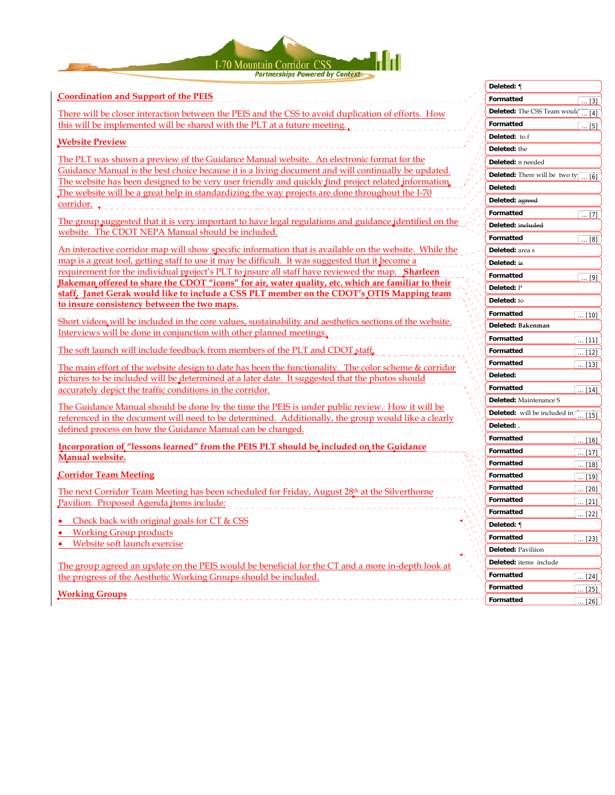

#### **Coordination and Support of the PEIS**

There will be closer interaction between the PEIS and the CSS to avoid duplication of efforts. How this will be implemented will be shared with the PLT at a future meeting.

#### **Website Preview**

The PLT was shown a preview of the Guidance Manual website. An electronic format for the Guidance Manual is the best choice because it is a living document and will continually be updated. The website has been designed to be very user friendly and quickly find project related information. The website will be a great help in standardizing the way projects are done throughout the I-70 corridor.

The group suggested that it is very important to have legal regulations and guidance identified on the website. The CDOT NEPA Manual should be included.

An interactive corridor map will show specific information that is available on the website. While the map is a great tool, getting staff to use it may be difficult. It was suggested that it become a requirement for the individual project's PLT to insure all staff have reviewed the map. **Sharleen Bakeman offered to share the CDOT "icons" for air, water quality, etc. which are familiar to their staff. Janet Gerak would like to include a CSS PLT member on the CDOT's OTIS Mapping team to insure consistency between the two maps.** 

Short videos will be included in the core values, sustainability and aesthetics sections of the website. Interviews will be done in conjunction with other planned meetings.

The soft launch will include feedback from members of the PLT and CDOT staff.

The main effort of the website design to date has been the functionality. The color scheme & corridor pictures to be included will be determined at a later date. It suggested that the photos should accurately depict the traffic conditions in the corridor.

The Guidance Manual should be done by the time the PEIS is under public review. How it will be referenced in the document will need to be determined. Additionally, the group would like a clearly defined process on how the Guidance Manual can be changed.

**Incorporation of "lessons learned" from the PEIS PLT should be included on the Guidance Manual website.**

**Corridor Team Meeting** 

The next Corridor Team Meeting has been scheduled for Friday, August 28<sup>th</sup> at the Silverthorne Pavilion. Proposed Agenda items include:

- Check back with original goals for CT & CSS
- Working Group products
- Website soft launch exercise

The group agreed an update on the PEIS would be beneficial for the CT and a more in-depth look at the progress of the Aesthetic Working Groups should be included.

**Working Groups**

|    | Deleted: ¶                                              |
|----|---------------------------------------------------------|
|    | Formatted<br>$\dots$ [3]                                |
|    | Deleted: The CSS Team would<br>$[4]$<br>                |
|    | Formatted<br>[5]                                        |
|    | Deleted:<br>to f                                        |
|    | Deleted: the                                            |
|    | Deleted: n needed                                       |
|    | Deleted: There will be two ty $\underbrace{\ldots [6]}$ |
|    | Deleted:                                                |
|    | Deleted: agreed                                         |
|    | Formatted<br>$\left[\dots [7]\right]$                   |
|    | Deleted: included                                       |
|    | Formatted<br>(  [8]                                     |
|    | Deleted: area s                                         |
|    | Deleted: is                                             |
|    | Formatted<br><u>(  [9]</u>                              |
|    | Deleted: P                                              |
|    | Deleted: to                                             |
|    | Formatted<br>$[10]$                                     |
|    | Deleted: Bakenman                                       |
|    | Formatted<br>$\ldots$ [11]                              |
|    | Formatted<br>$[12]$                                     |
|    | Formatted<br>ĺ<br>$[13]$                                |
|    | Deleted:                                                |
|    | Formatted<br>$\ldots$ [14]                              |
|    | Deleted: Maintenance S                                  |
|    | Deleted: will be included in<br>[15]                    |
|    | Deleted: .                                              |
|    | Formatted<br>$\dots$ [16]                               |
|    | Formatted<br>l<br>$\ldots$ [17]                         |
|    | Formatted<br>ĺ<br>$[18]$                                |
|    | Formatted<br>$[19]$<br>l                                |
|    | Formatted<br>$\boxed{20}$                               |
|    | Formatted<br>$[21]$                                     |
| ĺ, | Formatted<br>$[22]$                                     |
|    | Deleted: ¶                                              |
|    | Formatted<br>$\left[\dots [23]\right]$                  |
|    | Deleted: Paviliion                                      |
|    | Deleted: items include                                  |
|    | Formatted<br>$\left[\dots [24]\right]$                  |
|    | Formatted<br>$[25]$                                     |
|    | Formatted<br>$[26]$<br>$\vert \; \ldots$                |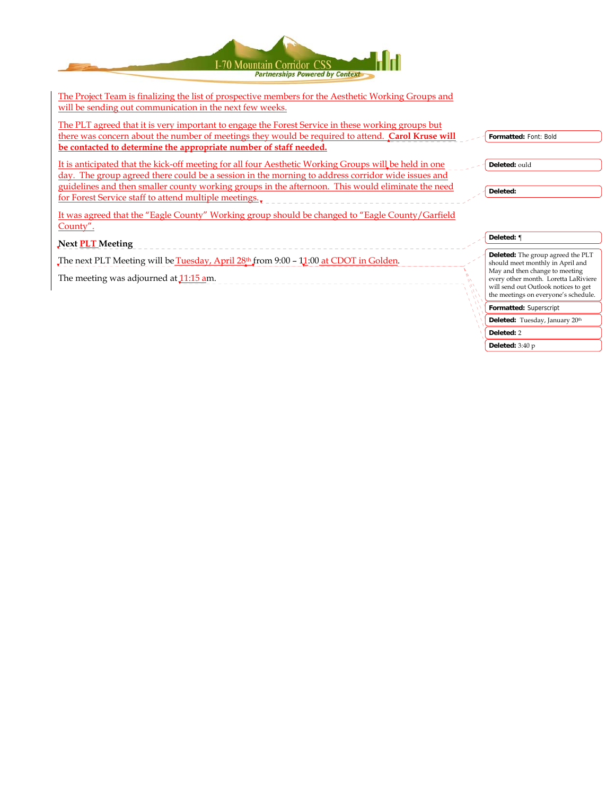| I-70 Mountain Corridor CSS<br><b>Partnerships Powered by Context</b>                                                                                                                                                                                                                                                                                                    |  |                                                                                                                                                                                                                                 |
|-------------------------------------------------------------------------------------------------------------------------------------------------------------------------------------------------------------------------------------------------------------------------------------------------------------------------------------------------------------------------|--|---------------------------------------------------------------------------------------------------------------------------------------------------------------------------------------------------------------------------------|
| <u>The Project Team is finalizing the list of prospective members for the Aesthetic Working Groups and</u><br>will be sending out communication in the next few weeks.                                                                                                                                                                                                  |  |                                                                                                                                                                                                                                 |
| The PLT agreed that it is very important to engage the Forest Service in these working groups but<br>there was concern about the number of meetings they would be required to attend. Carol Kruse will<br>be contacted to determine the appropriate number of staff needed.                                                                                             |  | Formatted: Font: Bold                                                                                                                                                                                                           |
| It is anticipated that the kick-off meeting for all four Aesthetic Working Groups will be held in one<br>day. The group agreed there could be a session in the morning to address corridor wide issues and<br>guidelines and then smaller county working groups in the afternoon. This would eliminate the need<br>for Forest Service staff to attend multiple meetings |  | Deleted: ould<br>Deleted:                                                                                                                                                                                                       |
| It was agreed that the "Eagle County" Working group should be changed to "Eagle County/Garfield<br>County".                                                                                                                                                                                                                                                             |  |                                                                                                                                                                                                                                 |
| Next <b>PLT</b> Meeting                                                                                                                                                                                                                                                                                                                                                 |  | Deleted: ¶                                                                                                                                                                                                                      |
| The next PLT Meeting will be Tuesday, April 28th from 9:00 - 11:00 at CDOT in Golden.<br>The meeting was adjourned at 11:15 am.                                                                                                                                                                                                                                         |  | Deleted: The group agreed the PLT<br>should meet monthly in April and<br>May and then change to meeting<br>every other month. Loretta LaRiviere<br>will send out Outlook notices to get<br>the meetings on everyone's schedule. |
|                                                                                                                                                                                                                                                                                                                                                                         |  | Formatted: Superscript                                                                                                                                                                                                          |

Deleted: Tuesday, January 20th

**Deleted:** 2 **Deleted:** 3:40 p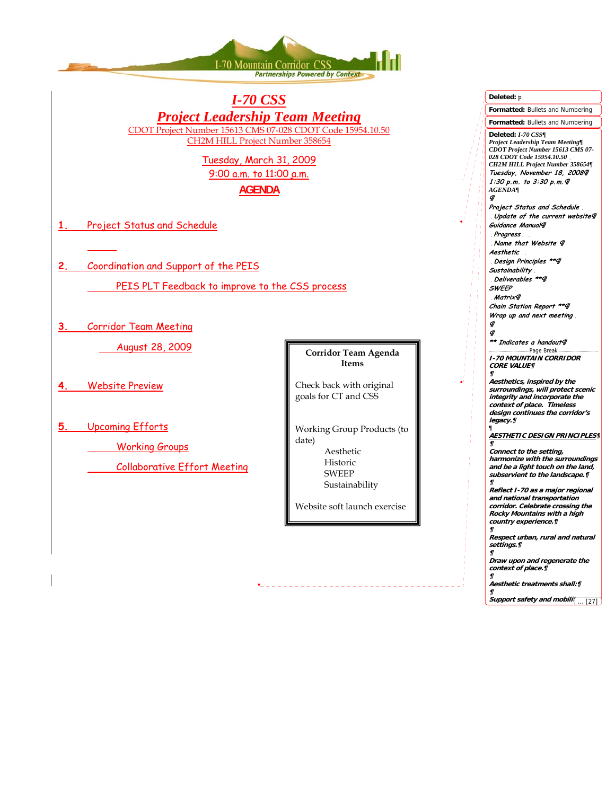

### *I-70 CSS Project Leadership Team Meeting* CDOT Project Number 15613 CMS 07-028 CDOT Code 15954.10.50 CH2M HILL Project Number 358654

Tuesday, March 31, 2009 9:00 a.m. to 11:00 a.m.

**AGENDA**

- **1.** Project Status and Schedule
- **2.** Coordination and Support of the PEIS
	- PEIS PLT Feedback to improve to the CSS process
- **3.** Corridor Team Meeting

August 28, 2009

- **4.** Website Preview
- **5.** Upcoming Efforts
	- Working Groups
	- Collaborative Effort Meeting

#### **Corridor Team Agenda Items**

Check back with original goals for CT and CSS

Working Group Products (to date) Aesthetic Historic SWEEP

Sustainability

Website soft launch exercise

| Deleted: p                                                                                                                                                                                                                                            |  |  |  |
|-------------------------------------------------------------------------------------------------------------------------------------------------------------------------------------------------------------------------------------------------------|--|--|--|
| Formatted: Bullets and Numbering                                                                                                                                                                                                                      |  |  |  |
| Formatted: Bullets and Numbering                                                                                                                                                                                                                      |  |  |  |
| Deleted: I-70 CSS¶<br>Project Leadership Team Meeting¶<br>CDOT Project Number 15613 CMS 07-<br>028 CDOT Code 15954.10.50<br>CH2M HILL Project Number 358654¶<br>Tuesday, November 18, 20089<br>1:30 p.m. to 3:30 p.m. 9<br><i><b>AGENDA¶</b></i><br>Ф |  |  |  |
| Project Status and Schedule                                                                                                                                                                                                                           |  |  |  |
| Update of the current website¶<br>Guidance Manual¶<br>Progress<br>Name that Website 9                                                                                                                                                                 |  |  |  |
| Aesthetic<br>Design Principles **¶                                                                                                                                                                                                                    |  |  |  |
| Sustainability<br>Deliverables **¶<br><b>SWEEP</b>                                                                                                                                                                                                    |  |  |  |
| Matrix¶<br>Chain Station Report **¶                                                                                                                                                                                                                   |  |  |  |
| Wrap up and next meeting<br><b>q</b>                                                                                                                                                                                                                  |  |  |  |
| q)<br>** Indicates a handout¶                                                                                                                                                                                                                         |  |  |  |
| -Page Break-                                                                                                                                                                                                                                          |  |  |  |
| <b>I-70 MOUNTAIN CORRIDOR</b><br><b>CORE VALUE¶</b><br>П                                                                                                                                                                                              |  |  |  |
| Aesthetics, inspired by the                                                                                                                                                                                                                           |  |  |  |
| surroundings, will protect scenic<br>integrity and incorporate the<br>context of place. Timeless<br>design continues the corridor's<br>legacy.¶                                                                                                       |  |  |  |
| П<br><u>AESTHETIC DESIGN PRINCIPLES¶</u>                                                                                                                                                                                                              |  |  |  |
| П<br>Connect to the setting,<br>harmonize with the surroundings                                                                                                                                                                                       |  |  |  |
| and be a light touch on the land,<br>subservient to the landscape. []<br>П                                                                                                                                                                            |  |  |  |
| Reflect I-70 as a major regional<br>and national transportation                                                                                                                                                                                       |  |  |  |
| corridor. Celebrate crossing the<br>Rocky Mountains with a high<br>country experience.¶<br>П                                                                                                                                                          |  |  |  |
| Respect urban, rural and natural<br>settings.¶<br>П                                                                                                                                                                                                   |  |  |  |
| Draw upon and regenerate the<br>context of place.¶<br>П                                                                                                                                                                                               |  |  |  |
| Aesthetic treatments shall:¶<br>11                                                                                                                                                                                                                    |  |  |  |
| Support safety and mobili<br>$[27]$<br>$\cdots$                                                                                                                                                                                                       |  |  |  |

的复数有特征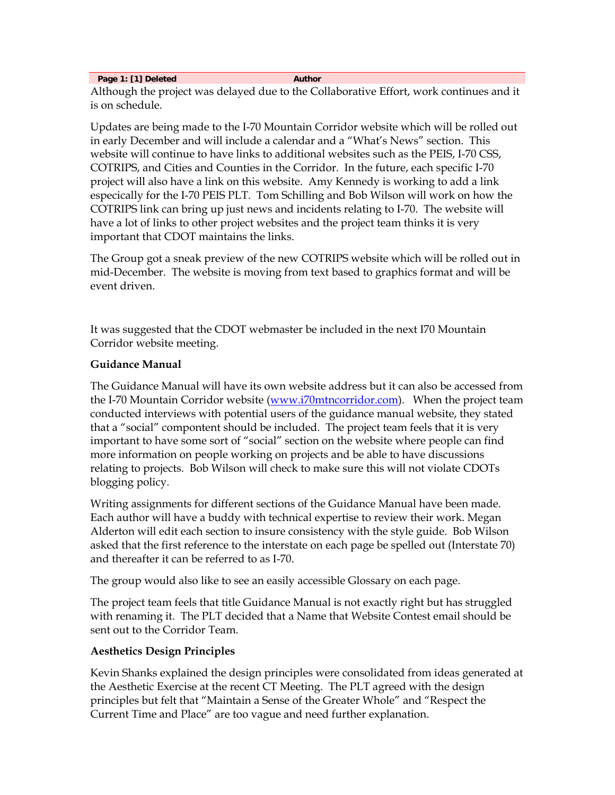**Page 1: [1] Deleted Author Author Author Author** 

Although the project was delayed due to the Collaborative Effort, work continues and it is on schedule.

Updates are being made to the I-70 Mountain Corridor website which will be rolled out in early December and will include a calendar and a "What's News" section. This website will continue to have links to additional websites such as the PEIS, I-70 CSS, COTRIPS, and Cities and Counties in the Corridor. In the future, each specific I-70 project will also have a link on this website. Amy Kennedy is working to add a link especically for the I-70 PEIS PLT. Tom Schilling and Bob Wilson will work on how the COTRIPS link can bring up just news and incidents relating to I-70. The website will have a lot of links to other project websites and the project team thinks it is very important that CDOT maintains the links.

The Group got a sneak preview of the new COTRIPS website which will be rolled out in mid-December. The website is moving from text based to graphics format and will be event driven.

It was suggested that the CDOT webmaster be included in the next I70 Mountain Corridor website meeting.

### **Guidance Manual**

The Guidance Manual will have its own website address but it can also be accessed from the I-70 Mountain Corridor website (www.i70mtncorridor.com). When the project team conducted interviews with potential users of the guidance manual website, they stated that a "social" compontent should be included. The project team feels that it is very important to have some sort of "social" section on the website where people can find more information on people working on projects and be able to have discussions relating to projects. Bob Wilson will check to make sure this will not violate CDOTs blogging policy.

Writing assignments for different sections of the Guidance Manual have been made. Each author will have a buddy with technical expertise to review their work. Megan Alderton will edit each section to insure consistency with the style guide. Bob Wilson asked that the first reference to the interstate on each page be spelled out (Interstate 70) and thereafter it can be referred to as I-70.

The group would also like to see an easily accessible Glossary on each page.

The project team feels that title Guidance Manual is not exactly right but has struggled with renaming it. The PLT decided that a Name that Website Contest email should be sent out to the Corridor Team.

### **Aesthetics Design Principles**

Kevin Shanks explained the design principles were consolidated from ideas generated at the Aesthetic Exercise at the recent CT Meeting. The PLT agreed with the design principles but felt that "Maintain a Sense of the Greater Whole" and "Respect the Current Time and Place" are too vague and need further explanation.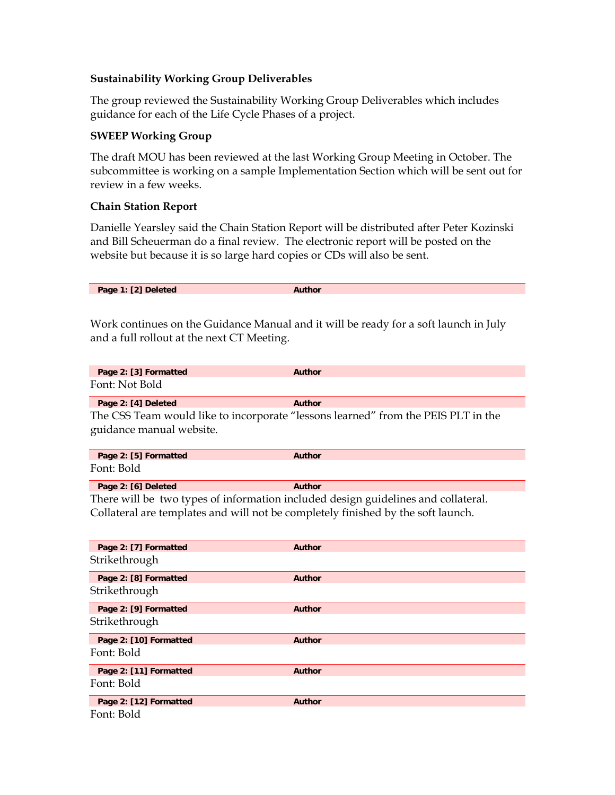### **Sustainability Working Group Deliverables**

The group reviewed the Sustainability Working Group Deliverables which includes guidance for each of the Life Cycle Phases of a project.

### **SWEEP Working Group**

The draft MOU has been reviewed at the last Working Group Meeting in October. The subcommittee is working on a sample Implementation Section which will be sent out for review in a few weeks.

### **Chain Station Report**

Danielle Yearsley said the Chain Station Report will be distributed after Peter Kozinski and Bill Scheuerman do a final review. The electronic report will be posted on the website but because it is so large hard copies or CDs will also be sent.

Work continues on the Guidance Manual and it will be ready for a soft launch in July and a full rollout at the next CT Meeting.

| Page 2: [3] Formatted | Author |  |
|-----------------------|--------|--|
| Font: Not Bold        |        |  |
| Page 2: [4] Deleted   | Author |  |

The CSS Team would like to incorporate "lessons learned" from the PEIS PLT in the guidance manual website.

| Page 2: [5] Formatted | Author |
|-----------------------|--------|
| Font: Bold            |        |

Page 2: [6] Deleted **Author** 

There will be two types of information included design guidelines and collateral. Collateral are templates and will not be completely finished by the soft launch.

| Page 2: [7] Formatted  | <b>Author</b> |
|------------------------|---------------|
| Strikethrough          |               |
| Page 2: [8] Formatted  | <b>Author</b> |
| Strikethrough          |               |
| Page 2: [9] Formatted  | <b>Author</b> |
| Strikethrough          |               |
| Page 2: [10] Formatted | <b>Author</b> |
| Font: Bold             |               |
| Page 2: [11] Formatted | <b>Author</b> |
| Font: Bold             |               |
| Page 2: [12] Formatted | <b>Author</b> |
| Font: Bold             |               |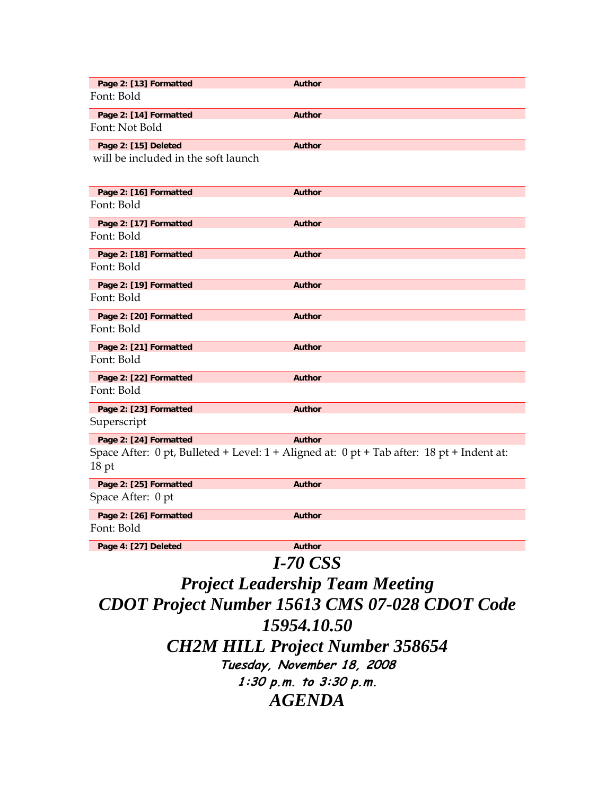| Page 2: [13] Formatted              | <b>Author</b>                                                                             |
|-------------------------------------|-------------------------------------------------------------------------------------------|
| Font: Bold                          |                                                                                           |
| Page 2: [14] Formatted              | <b>Author</b>                                                                             |
| Font: Not Bold                      |                                                                                           |
| Page 2: [15] Deleted                | <b>Author</b>                                                                             |
| will be included in the soft launch |                                                                                           |
| Page 2: [16] Formatted              | <b>Author</b>                                                                             |
| Font: Bold                          |                                                                                           |
| Page 2: [17] Formatted              | <b>Author</b>                                                                             |
| Font: Bold                          |                                                                                           |
| Page 2: [18] Formatted              | <b>Author</b>                                                                             |
| Font: Bold                          |                                                                                           |
| Page 2: [19] Formatted              | <b>Author</b>                                                                             |
| Font: Bold                          |                                                                                           |
| Page 2: [20] Formatted              | <b>Author</b>                                                                             |
| Font: Bold                          |                                                                                           |
| Page 2: [21] Formatted              | <b>Author</b>                                                                             |
| Font: Bold                          |                                                                                           |
| Page 2: [22] Formatted              | <b>Author</b>                                                                             |
| Font: Bold                          |                                                                                           |
| Page 2: [23] Formatted              | <b>Author</b>                                                                             |
| Superscript                         |                                                                                           |
| Page 2: [24] Formatted              | <b>Author</b>                                                                             |
| $18$ pt                             | Space After: 0 pt, Bulleted + Level: 1 + Aligned at: 0 pt + Tab after: 18 pt + Indent at: |
| Page 2: [25] Formatted              | <b>Author</b>                                                                             |
| Space After: 0 pt                   |                                                                                           |
| Page 2: [26] Formatted              | <b>Author</b>                                                                             |
| Font: Bold                          |                                                                                           |
| Page 4: [27] Deleted                | <b>Author</b>                                                                             |

*I-70 CSS Project Leadership Team Meeting CDOT Project Number 15613 CMS 07-028 CDOT Code 15954.10.50 CH2M HILL Project Number 358654*  **Tuesday, November 18, 2008 1:30 p.m. to 3:30 p.m.**  *AGENDA*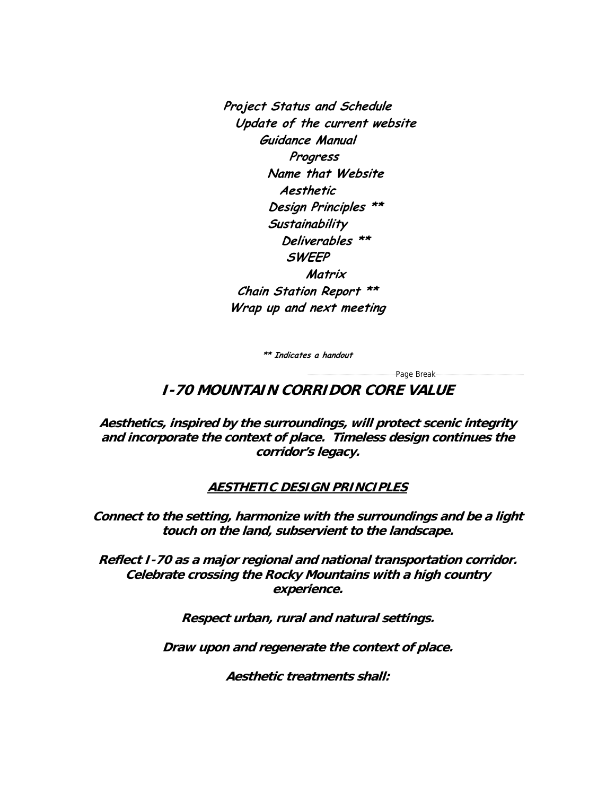**Project Status and Schedule Update of the current website Guidance Manual Progress Name that Website Aesthetic Design Principles \*\* Sustainability Deliverables \*\* SWEEP Matrix Chain Station Report \*\* Wrap up and next meeting** 

**\*\* Indicates a handout** 

-Page Break-

**I-70 MOUNTAIN CORRIDOR CORE VALUE** 

**Aesthetics, inspired by the surroundings, will protect scenic integrity and incorporate the context of place. Timeless design continues the corridor's legacy.** 

## **AESTHETIC DESIGN PRINCIPLES**

**Connect to the setting, harmonize with the surroundings and be a light touch on the land, subservient to the landscape.** 

**Reflect I-70 as a major regional and national transportation corridor. Celebrate crossing the Rocky Mountains with a high country experience.** 

**Respect urban, rural and natural settings.** 

**Draw upon and regenerate the context of place.** 

**Aesthetic treatments shall:**